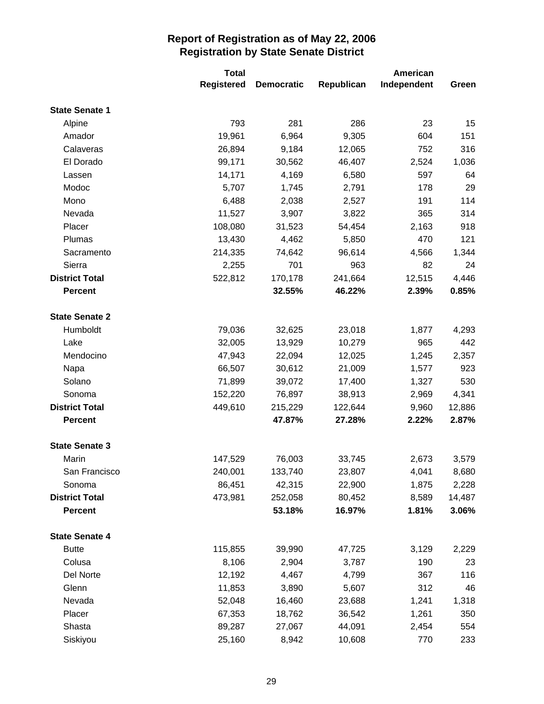|                       | <b>Total</b> |                   | <b>American</b> |             |        |
|-----------------------|--------------|-------------------|-----------------|-------------|--------|
|                       | Registered   | <b>Democratic</b> | Republican      | Independent | Green  |
| <b>State Senate 1</b> |              |                   |                 |             |        |
| Alpine                | 793          | 281               | 286             | 23          | 15     |
| Amador                | 19,961       | 6,964             | 9,305           | 604         | 151    |
| Calaveras             | 26,894       | 9,184             | 12,065          | 752         | 316    |
| El Dorado             | 99,171       | 30,562            | 46,407          | 2,524       | 1,036  |
| Lassen                | 14,171       | 4,169             | 6,580           | 597         | 64     |
| Modoc                 | 5,707        | 1,745             | 2,791           | 178         | 29     |
| Mono                  | 6,488        | 2,038             | 2,527           | 191         | 114    |
| Nevada                | 11,527       | 3,907             | 3,822           | 365         | 314    |
| Placer                | 108,080      | 31,523            | 54,454          | 2,163       | 918    |
| Plumas                | 13,430       | 4,462             | 5,850           | 470         | 121    |
| Sacramento            | 214,335      | 74,642            | 96,614          | 4,566       | 1,344  |
| Sierra                | 2,255        | 701               | 963             | 82          | 24     |
| <b>District Total</b> | 522,812      | 170,178           | 241,664         | 12,515      | 4,446  |
| <b>Percent</b>        |              | 32.55%            | 46.22%          | 2.39%       | 0.85%  |
|                       |              |                   |                 |             |        |
| <b>State Senate 2</b> |              |                   |                 |             |        |
| Humboldt              | 79,036       | 32,625            | 23,018          | 1,877       | 4,293  |
| Lake                  | 32,005       | 13,929            | 10,279          | 965         | 442    |
| Mendocino             | 47,943       | 22,094            | 12,025          | 1,245       | 2,357  |
| Napa                  | 66,507       | 30,612            | 21,009          | 1,577       | 923    |
| Solano                | 71,899       | 39,072            | 17,400          | 1,327       | 530    |
| Sonoma                | 152,220      | 76,897            | 38,913          | 2,969       | 4,341  |
| <b>District Total</b> | 449,610      | 215,229           | 122,644         | 9,960       | 12,886 |
| <b>Percent</b>        |              | 47.87%            | 27.28%          | 2.22%       | 2.87%  |
| <b>State Senate 3</b> |              |                   |                 |             |        |
| Marin                 | 147,529      | 76,003            | 33,745          | 2,673       | 3,579  |
| San Francisco         | 240,001      | 133,740           | 23,807          | 4,041       | 8,680  |
| Sonoma                | 86,451       | 42,315            | 22,900          | 1,875       | 2,228  |
| <b>District Total</b> | 473,981      | 252,058           | 80,452          | 8,589       | 14,487 |
| <b>Percent</b>        |              | 53.18%            | 16.97%          | 1.81%       | 3.06%  |
| <b>State Senate 4</b> |              |                   |                 |             |        |
| <b>Butte</b>          | 115,855      | 39,990            | 47,725          | 3,129       | 2,229  |
| Colusa                | 8,106        | 2,904             | 3,787           | 190         | 23     |
| Del Norte             | 12,192       | 4,467             | 4,799           | 367         | 116    |
| Glenn                 | 11,853       | 3,890             | 5,607           | 312         | 46     |
| Nevada                | 52,048       | 16,460            | 23,688          | 1,241       | 1,318  |
| Placer                | 67,353       | 18,762            | 36,542          | 1,261       | 350    |
| Shasta                | 89,287       | 27,067            | 44,091          | 2,454       | 554    |
| Siskiyou              | 25,160       | 8,942             | 10,608          | 770         | 233    |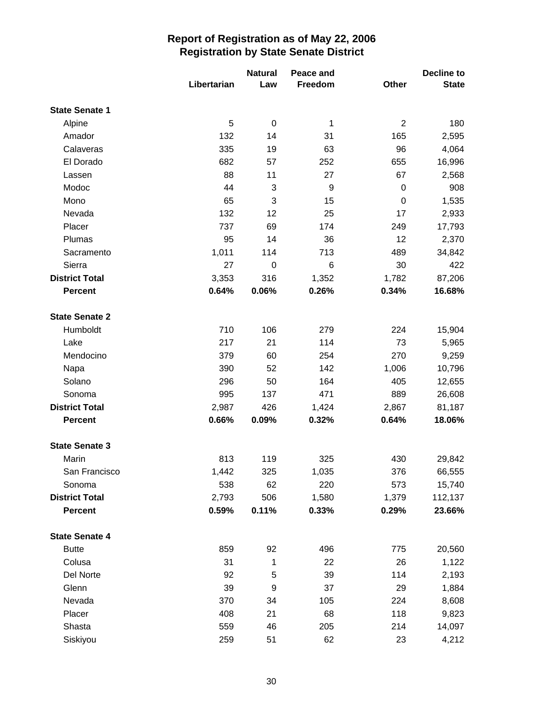|                       |             | <b>Natural</b>   | Peace and |                  | Decline to   |
|-----------------------|-------------|------------------|-----------|------------------|--------------|
|                       | Libertarian | Law              | Freedom   | Other            | <b>State</b> |
| <b>State Senate 1</b> |             |                  |           |                  |              |
| Alpine                | 5           | $\boldsymbol{0}$ | 1         | $\overline{2}$   | 180          |
| Amador                | 132         | 14               | 31        | 165              | 2,595        |
| Calaveras             | 335         | 19               | 63        | 96               | 4,064        |
| El Dorado             | 682         | 57               | 252       | 655              | 16,996       |
| Lassen                | 88          | 11               | 27        | 67               | 2,568        |
| Modoc                 | 44          | 3                | 9         | $\boldsymbol{0}$ | 908          |
| Mono                  | 65          | 3                | 15        | $\boldsymbol{0}$ | 1,535        |
| Nevada                | 132         | 12               | 25        | 17               | 2,933        |
| Placer                | 737         | 69               | 174       | 249              | 17,793       |
| Plumas                | 95          | 14               | 36        | 12               | 2,370        |
| Sacramento            | 1,011       | 114              | 713       | 489              | 34,842       |
| Sierra                | 27          | $\mathbf 0$      | 6         | 30               | 422          |
| <b>District Total</b> | 3,353       | 316              | 1,352     | 1,782            | 87,206       |
| <b>Percent</b>        | 0.64%       | 0.06%            | 0.26%     | 0.34%            | 16.68%       |
| <b>State Senate 2</b> |             |                  |           |                  |              |
| Humboldt              | 710         | 106              | 279       | 224              | 15,904       |
| Lake                  | 217         | 21               | 114       | 73               | 5,965        |
| Mendocino             | 379         | 60               | 254       | 270              | 9,259        |
| Napa                  | 390         | 52               | 142       | 1,006            | 10,796       |
| Solano                | 296         | 50               | 164       | 405              | 12,655       |
| Sonoma                | 995         | 137              | 471       | 889              | 26,608       |
| <b>District Total</b> | 2,987       | 426              | 1,424     | 2,867            | 81,187       |
| <b>Percent</b>        | 0.66%       | 0.09%            | 0.32%     | 0.64%            | 18.06%       |
| <b>State Senate 3</b> |             |                  |           |                  |              |
| Marin                 | 813         | 119              | 325       | 430              | 29,842       |
| San Francisco         | 1,442       | 325              | 1,035     | 376              | 66,555       |
| Sonoma                | 538         | 62               | 220       | 573              | 15,740       |
| <b>District Total</b> | 2,793       | 506              | 1,580     | 1,379            | 112,137      |
| <b>Percent</b>        | 0.59%       | 0.11%            | 0.33%     | 0.29%            | 23.66%       |
| <b>State Senate 4</b> |             |                  |           |                  |              |
| <b>Butte</b>          | 859         | 92               | 496       | 775              | 20,560       |
| Colusa                | 31          | 1                | 22        | 26               | 1,122        |
| Del Norte             | 92          | 5                | 39        | 114              | 2,193        |
| Glenn                 | 39          | $\boldsymbol{9}$ | 37        | 29               | 1,884        |
| Nevada                | 370         | 34               | 105       | 224              | 8,608        |
| Placer                | 408         | 21               | 68        | 118              | 9,823        |
| Shasta                | 559         | 46               | 205       | 214              | 14,097       |
| Siskiyou              | 259         | 51               | 62        | 23               | 4,212        |
|                       |             |                  |           |                  |              |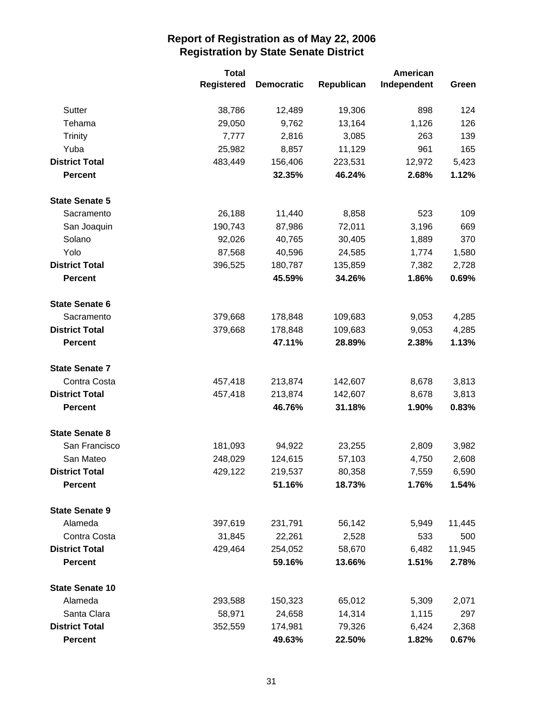|                        | <b>Total</b>      |                   | American   |             |        |
|------------------------|-------------------|-------------------|------------|-------------|--------|
|                        | <b>Registered</b> | <b>Democratic</b> | Republican | Independent | Green  |
| Sutter                 | 38,786            | 12,489            | 19,306     | 898         | 124    |
| Tehama                 | 29,050            | 9,762             | 13,164     | 1,126       | 126    |
| <b>Trinity</b>         | 7,777             | 2,816             | 3,085      | 263         | 139    |
| Yuba                   | 25,982            | 8,857             | 11,129     | 961         | 165    |
| <b>District Total</b>  | 483,449           | 156,406           | 223,531    | 12,972      | 5,423  |
| <b>Percent</b>         |                   | 32.35%            | 46.24%     | 2.68%       | 1.12%  |
| <b>State Senate 5</b>  |                   |                   |            |             |        |
| Sacramento             | 26,188            | 11,440            | 8,858      | 523         | 109    |
| San Joaquin            | 190,743           | 87,986            | 72,011     | 3,196       | 669    |
| Solano                 | 92,026            | 40,765            | 30,405     | 1,889       | 370    |
| Yolo                   | 87,568            | 40,596            | 24,585     | 1,774       | 1,580  |
| <b>District Total</b>  | 396,525           | 180,787           | 135,859    | 7,382       | 2,728  |
| <b>Percent</b>         |                   | 45.59%            | 34.26%     | 1.86%       | 0.69%  |
| <b>State Senate 6</b>  |                   |                   |            |             |        |
| Sacramento             | 379,668           | 178,848           | 109,683    | 9,053       | 4,285  |
| <b>District Total</b>  | 379,668           | 178,848           | 109,683    | 9,053       | 4,285  |
| <b>Percent</b>         |                   | 47.11%            | 28.89%     | 2.38%       | 1.13%  |
| <b>State Senate 7</b>  |                   |                   |            |             |        |
| Contra Costa           | 457,418           | 213,874           | 142,607    | 8,678       | 3,813  |
| <b>District Total</b>  | 457,418           | 213,874           | 142,607    | 8,678       | 3,813  |
| <b>Percent</b>         |                   | 46.76%            | 31.18%     | 1.90%       | 0.83%  |
| <b>State Senate 8</b>  |                   |                   |            |             |        |
| San Francisco          | 181,093           | 94,922            | 23,255     | 2,809       | 3,982  |
| San Mateo              | 248,029           | 124,615           | 57,103     | 4,750       | 2,608  |
| <b>District Total</b>  | 429,122           | 219,537           | 80,358     | 7,559       | 6,590  |
| <b>Percent</b>         |                   | 51.16%            | 18.73%     | 1.76%       | 1.54%  |
| <b>State Senate 9</b>  |                   |                   |            |             |        |
| Alameda                | 397,619           | 231,791           | 56,142     | 5,949       | 11,445 |
| Contra Costa           | 31,845            | 22,261            | 2,528      | 533         | 500    |
| <b>District Total</b>  | 429,464           | 254,052           | 58,670     | 6,482       | 11,945 |
| <b>Percent</b>         |                   | 59.16%            | 13.66%     | 1.51%       | 2.78%  |
| <b>State Senate 10</b> |                   |                   |            |             |        |
| Alameda                | 293,588           | 150,323           | 65,012     | 5,309       | 2,071  |
| Santa Clara            | 58,971            | 24,658            | 14,314     | 1,115       | 297    |
| <b>District Total</b>  | 352,559           | 174,981           | 79,326     | 6,424       | 2,368  |
| <b>Percent</b>         |                   | 49.63%            | 22.50%     | 1.82%       | 0.67%  |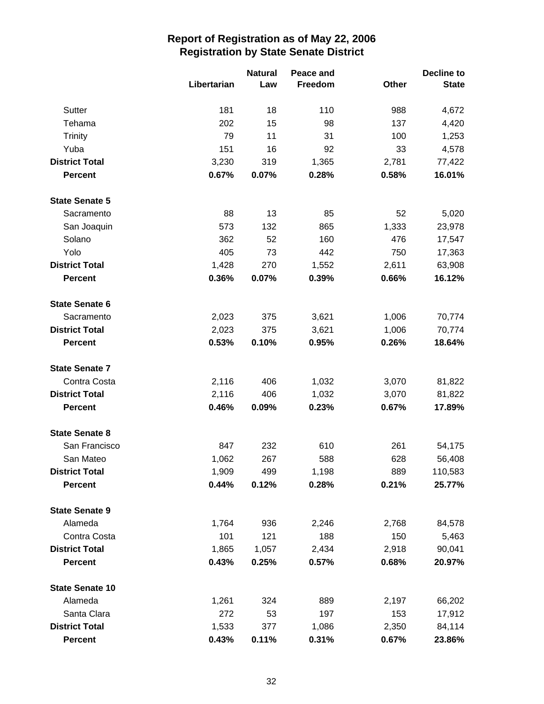|                        |             | <b>Natural</b> | Peace and |       | <b>Decline to</b> |
|------------------------|-------------|----------------|-----------|-------|-------------------|
|                        | Libertarian | Law            | Freedom   | Other | <b>State</b>      |
| Sutter                 | 181         | 18             | 110       | 988   | 4,672             |
| Tehama                 | 202         | 15             | 98        | 137   | 4,420             |
| Trinity                | 79          | 11             | 31        | 100   | 1,253             |
| Yuba                   | 151         | 16             | 92        | 33    | 4,578             |
| <b>District Total</b>  | 3,230       | 319            | 1,365     | 2,781 | 77,422            |
| <b>Percent</b>         | 0.67%       | 0.07%          | 0.28%     | 0.58% | 16.01%            |
| <b>State Senate 5</b>  |             |                |           |       |                   |
| Sacramento             | 88          | 13             | 85        | 52    | 5,020             |
| San Joaquin            | 573         | 132            | 865       | 1,333 | 23,978            |
| Solano                 | 362         | 52             | 160       | 476   | 17,547            |
| Yolo                   | 405         | 73             | 442       | 750   | 17,363            |
| <b>District Total</b>  | 1,428       | 270            | 1,552     | 2,611 | 63,908            |
| <b>Percent</b>         | 0.36%       | 0.07%          | 0.39%     | 0.66% | 16.12%            |
| <b>State Senate 6</b>  |             |                |           |       |                   |
| Sacramento             | 2,023       | 375            | 3,621     | 1,006 | 70,774            |
| <b>District Total</b>  | 2,023       | 375            | 3,621     | 1,006 | 70,774            |
| <b>Percent</b>         | 0.53%       | 0.10%          | 0.95%     | 0.26% | 18.64%            |
| <b>State Senate 7</b>  |             |                |           |       |                   |
| Contra Costa           | 2,116       | 406            | 1,032     | 3,070 | 81,822            |
| <b>District Total</b>  | 2,116       | 406            | 1,032     | 3,070 | 81,822            |
| <b>Percent</b>         | 0.46%       | 0.09%          | 0.23%     | 0.67% | 17.89%            |
| <b>State Senate 8</b>  |             |                |           |       |                   |
| San Francisco          | 847         | 232            | 610       | 261   | 54,175            |
| San Mateo              | 1,062       | 267            | 588       | 628   | 56,408            |
| <b>District Total</b>  | 1,909       | 499            | 1,198     | 889   | 110,583           |
| <b>Percent</b>         | 0.44%       | 0.12%          | 0.28%     | 0.21% | 25.77%            |
| <b>State Senate 9</b>  |             |                |           |       |                   |
| Alameda                | 1,764       | 936            | 2,246     | 2,768 | 84,578            |
| Contra Costa           | 101         | 121            | 188       | 150   | 5,463             |
| <b>District Total</b>  | 1,865       | 1,057          | 2,434     | 2,918 | 90,041            |
| <b>Percent</b>         | 0.43%       | 0.25%          | 0.57%     | 0.68% | 20.97%            |
| <b>State Senate 10</b> |             |                |           |       |                   |
| Alameda                | 1,261       | 324            | 889       | 2,197 | 66,202            |
| Santa Clara            | 272         | 53             | 197       | 153   | 17,912            |
| <b>District Total</b>  | 1,533       | 377            | 1,086     | 2,350 | 84,114            |
| <b>Percent</b>         | 0.43%       | 0.11%          | 0.31%     | 0.67% | 23.86%            |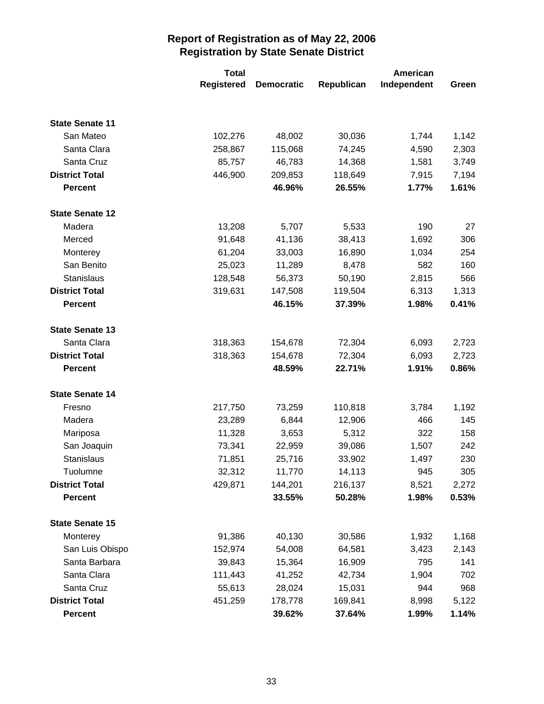|                        | <b>Total</b>      |                   | American   |             |       |
|------------------------|-------------------|-------------------|------------|-------------|-------|
|                        | <b>Registered</b> | <b>Democratic</b> | Republican | Independent | Green |
|                        |                   |                   |            |             |       |
| <b>State Senate 11</b> |                   |                   |            |             |       |
| San Mateo              | 102,276           | 48,002            | 30,036     | 1,744       | 1,142 |
| Santa Clara            | 258,867           | 115,068           | 74,245     | 4,590       | 2,303 |
| Santa Cruz             | 85,757            | 46,783            | 14,368     | 1,581       | 3,749 |
| <b>District Total</b>  | 446,900           | 209,853           | 118,649    | 7,915       | 7,194 |
| <b>Percent</b>         |                   | 46.96%            | 26.55%     | 1.77%       | 1.61% |
| <b>State Senate 12</b> |                   |                   |            |             |       |
| Madera                 | 13,208            | 5,707             | 5,533      | 190         | 27    |
| Merced                 | 91,648            | 41,136            | 38,413     | 1,692       | 306   |
| Monterey               | 61,204            | 33,003            | 16,890     | 1,034       | 254   |
| San Benito             | 25,023            | 11,289            | 8,478      | 582         | 160   |
| Stanislaus             | 128,548           | 56,373            | 50,190     | 2,815       | 566   |
| <b>District Total</b>  | 319,631           | 147,508           | 119,504    | 6,313       | 1,313 |
| <b>Percent</b>         |                   | 46.15%            | 37.39%     | 1.98%       | 0.41% |
| <b>State Senate 13</b> |                   |                   |            |             |       |
| Santa Clara            | 318,363           | 154,678           | 72,304     | 6,093       | 2,723 |
| <b>District Total</b>  | 318,363           | 154,678           | 72,304     | 6,093       | 2,723 |
| <b>Percent</b>         |                   | 48.59%            | 22.71%     | 1.91%       | 0.86% |
| <b>State Senate 14</b> |                   |                   |            |             |       |
| Fresno                 | 217,750           | 73,259            | 110,818    | 3,784       | 1,192 |
| Madera                 | 23,289            | 6,844             | 12,906     | 466         | 145   |
| Mariposa               | 11,328            | 3,653             | 5,312      | 322         | 158   |
| San Joaquin            | 73,341            | 22,959            | 39,086     | 1,507       | 242   |
| Stanislaus             | 71,851            | 25,716            | 33,902     | 1,497       | 230   |
| Tuolumne               | 32,312            | 11,770            | 14,113     | 945         | 305   |
| <b>District Total</b>  | 429,871           | 144,201           | 216,137    | 8,521       | 2,272 |
| <b>Percent</b>         |                   | 33.55%            | 50.28%     | 1.98%       | 0.53% |
| <b>State Senate 15</b> |                   |                   |            |             |       |
| Monterey               | 91,386            | 40,130            | 30,586     | 1,932       | 1,168 |
| San Luis Obispo        | 152,974           | 54,008            | 64,581     | 3,423       | 2,143 |
| Santa Barbara          | 39,843            | 15,364            | 16,909     | 795         | 141   |
| Santa Clara            | 111,443           | 41,252            | 42,734     | 1,904       | 702   |
| Santa Cruz             | 55,613            | 28,024            | 15,031     | 944         | 968   |
| <b>District Total</b>  | 451,259           | 178,778           | 169,841    | 8,998       | 5,122 |
| <b>Percent</b>         |                   | 39.62%            | 37.64%     | 1.99%       | 1.14% |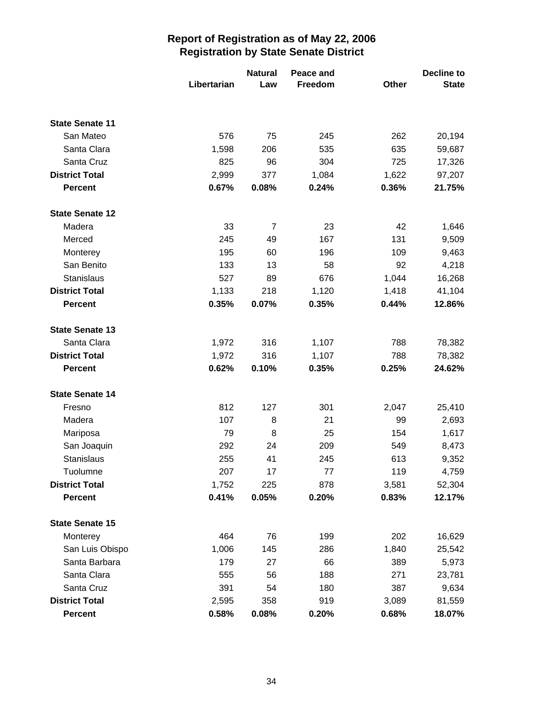|                        |             | <b>Natural</b> | Peace and |       | <b>Decline to</b> |
|------------------------|-------------|----------------|-----------|-------|-------------------|
|                        | Libertarian | Law            | Freedom   | Other | <b>State</b>      |
|                        |             |                |           |       |                   |
| <b>State Senate 11</b> |             |                |           |       |                   |
| San Mateo              | 576         | 75             | 245       | 262   | 20,194            |
| Santa Clara            | 1,598       | 206            | 535       | 635   | 59,687            |
| Santa Cruz             | 825         | 96             | 304       | 725   | 17,326            |
| <b>District Total</b>  | 2,999       | 377            | 1,084     | 1,622 | 97,207            |
| <b>Percent</b>         | 0.67%       | 0.08%          | 0.24%     | 0.36% | 21.75%            |
| <b>State Senate 12</b> |             |                |           |       |                   |
| Madera                 | 33          | $\overline{7}$ | 23        | 42    | 1,646             |
| Merced                 | 245         | 49             | 167       | 131   | 9,509             |
| Monterey               | 195         | 60             | 196       | 109   | 9,463             |
| San Benito             | 133         | 13             | 58        | 92    | 4,218             |
| Stanislaus             | 527         | 89             | 676       | 1,044 | 16,268            |
| <b>District Total</b>  | 1,133       | 218            | 1,120     | 1,418 | 41,104            |
| <b>Percent</b>         | 0.35%       | 0.07%          | 0.35%     | 0.44% | 12.86%            |
| <b>State Senate 13</b> |             |                |           |       |                   |
| Santa Clara            | 1,972       | 316            | 1,107     | 788   | 78,382            |
| <b>District Total</b>  | 1,972       | 316            | 1,107     | 788   | 78,382            |
| <b>Percent</b>         | 0.62%       | 0.10%          | 0.35%     | 0.25% | 24.62%            |
| <b>State Senate 14</b> |             |                |           |       |                   |
| Fresno                 | 812         | 127            | 301       | 2,047 | 25,410            |
| Madera                 | 107         | 8              | 21        | 99    | 2,693             |
| Mariposa               | 79          | 8              | 25        | 154   | 1,617             |
| San Joaquin            | 292         | 24             | 209       | 549   | 8,473             |
| Stanislaus             | 255         | 41             | 245       | 613   | 9,352             |
| Tuolumne               | 207         | 17             | 77        | 119   | 4,759             |
| <b>District Total</b>  | 1,752       | 225            | 878       | 3,581 | 52,304            |
| <b>Percent</b>         | 0.41%       | 0.05%          | 0.20%     | 0.83% | 12.17%            |
| <b>State Senate 15</b> |             |                |           |       |                   |
| Monterey               | 464         | 76             | 199       | 202   | 16,629            |
| San Luis Obispo        | 1,006       | 145            | 286       | 1,840 | 25,542            |
| Santa Barbara          | 179         | 27             | 66        | 389   | 5,973             |
| Santa Clara            | 555         | 56             | 188       | 271   | 23,781            |
| Santa Cruz             | 391         | 54             | 180       | 387   | 9,634             |
| <b>District Total</b>  | 2,595       | 358            | 919       | 3,089 | 81,559            |
| <b>Percent</b>         | 0.58%       | 0.08%          | 0.20%     | 0.68% | 18.07%            |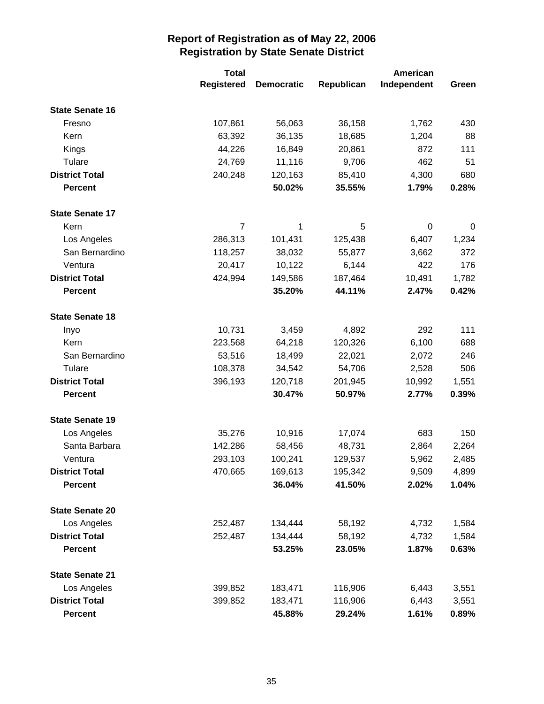|                        | <b>Total</b>      |                   |            | American    |       |
|------------------------|-------------------|-------------------|------------|-------------|-------|
|                        | <b>Registered</b> | <b>Democratic</b> | Republican | Independent | Green |
| <b>State Senate 16</b> |                   |                   |            |             |       |
| Fresno                 | 107,861           | 56,063            | 36,158     | 1,762       | 430   |
| Kern                   | 63,392            | 36,135            | 18,685     | 1,204       | 88    |
| Kings                  | 44,226            | 16,849            | 20,861     | 872         | 111   |
| Tulare                 | 24,769            | 11,116            | 9,706      | 462         | 51    |
| <b>District Total</b>  | 240,248           | 120,163           | 85,410     | 4,300       | 680   |
| <b>Percent</b>         |                   | 50.02%            | 35.55%     | 1.79%       | 0.28% |
| <b>State Senate 17</b> |                   |                   |            |             |       |
| Kern                   | $\overline{7}$    | 1                 | 5          | 0           | 0     |
| Los Angeles            | 286,313           | 101,431           | 125,438    | 6,407       | 1,234 |
| San Bernardino         | 118,257           | 38,032            | 55,877     | 3,662       | 372   |
| Ventura                | 20,417            | 10,122            | 6,144      | 422         | 176   |
| <b>District Total</b>  | 424,994           | 149,586           | 187,464    | 10,491      | 1,782 |
| <b>Percent</b>         |                   | 35.20%            | 44.11%     | 2.47%       | 0.42% |
| <b>State Senate 18</b> |                   |                   |            |             |       |
| Inyo                   | 10,731            | 3,459             | 4,892      | 292         | 111   |
| Kern                   | 223,568           | 64,218            | 120,326    | 6,100       | 688   |
| San Bernardino         | 53,516            | 18,499            | 22,021     | 2,072       | 246   |
| Tulare                 | 108,378           | 34,542            | 54,706     | 2,528       | 506   |
| <b>District Total</b>  | 396,193           | 120,718           | 201,945    | 10,992      | 1,551 |
| <b>Percent</b>         |                   | 30.47%            | 50.97%     | 2.77%       | 0.39% |
| <b>State Senate 19</b> |                   |                   |            |             |       |
| Los Angeles            | 35,276            | 10,916            | 17,074     | 683         | 150   |
| Santa Barbara          | 142,286           | 58,456            | 48,731     | 2,864       | 2,264 |
| Ventura                | 293,103           | 100,241           | 129,537    | 5,962       | 2,485 |
| <b>District Total</b>  | 470,665           | 169,613           | 195,342    | 9,509       | 4,899 |
| Percent                |                   | 36.04%            | 41.50%     | 2.02%       | 1.04% |
| <b>State Senate 20</b> |                   |                   |            |             |       |
| Los Angeles            | 252,487           | 134,444           | 58,192     | 4,732       | 1,584 |
| <b>District Total</b>  | 252,487           | 134,444           | 58,192     | 4,732       | 1,584 |
| <b>Percent</b>         |                   | 53.25%            | 23.05%     | 1.87%       | 0.63% |
| <b>State Senate 21</b> |                   |                   |            |             |       |
| Los Angeles            | 399,852           | 183,471           | 116,906    | 6,443       | 3,551 |
| <b>District Total</b>  | 399,852           | 183,471           | 116,906    | 6,443       | 3,551 |
| Percent                |                   | 45.88%            | 29.24%     | 1.61%       | 0.89% |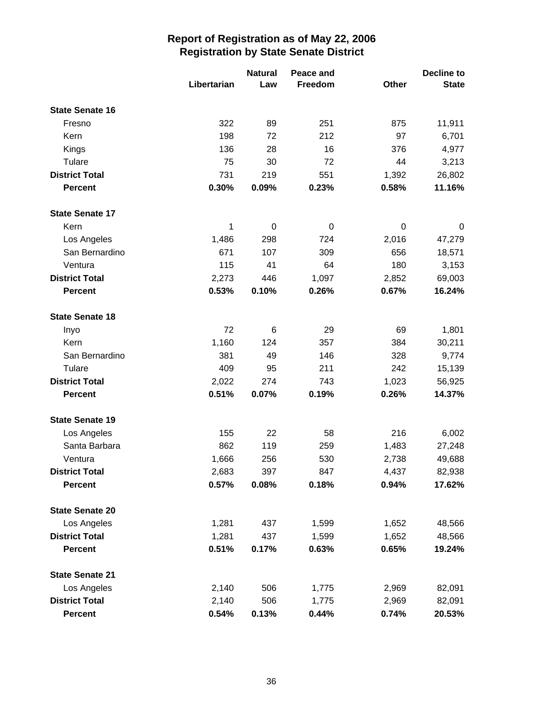|                        |             | <b>Natural</b>  | Peace and |       | <b>Decline to</b> |
|------------------------|-------------|-----------------|-----------|-------|-------------------|
|                        | Libertarian | Law             | Freedom   | Other | <b>State</b>      |
| <b>State Senate 16</b> |             |                 |           |       |                   |
| Fresno                 | 322         | 89              | 251       | 875   | 11,911            |
| Kern                   | 198         | 72              | 212       | 97    | 6,701             |
| Kings                  | 136         | 28              | 16        | 376   | 4,977             |
| Tulare                 | 75          | 30              | 72        | 44    | 3,213             |
| <b>District Total</b>  | 731         | 219             | 551       | 1,392 | 26,802            |
| <b>Percent</b>         | 0.30%       | 0.09%           | 0.23%     | 0.58% | 11.16%            |
| <b>State Senate 17</b> |             |                 |           |       |                   |
| Kern                   | 1           | 0               | 0         | 0     | 0                 |
| Los Angeles            | 1,486       | 298             | 724       | 2,016 | 47,279            |
| San Bernardino         | 671         | 107             | 309       | 656   | 18,571            |
| Ventura                | 115         | 41              | 64        | 180   | 3,153             |
| <b>District Total</b>  | 2,273       | 446             | 1,097     | 2,852 | 69,003            |
| <b>Percent</b>         | 0.53%       | 0.10%           | 0.26%     | 0.67% | 16.24%            |
| <b>State Senate 18</b> |             |                 |           |       |                   |
| Inyo                   | 72          | $6\phantom{1}6$ | 29        | 69    | 1,801             |
| Kern                   | 1,160       | 124             | 357       | 384   | 30,211            |
| San Bernardino         | 381         | 49              | 146       | 328   | 9,774             |
| Tulare                 | 409         | 95              | 211       | 242   | 15,139            |
| <b>District Total</b>  | 2,022       | 274             | 743       | 1,023 | 56,925            |
| <b>Percent</b>         | 0.51%       | 0.07%           | 0.19%     | 0.26% | 14.37%            |
| <b>State Senate 19</b> |             |                 |           |       |                   |
| Los Angeles            | 155         | 22              | 58        | 216   | 6,002             |
| Santa Barbara          | 862         | 119             | 259       | 1,483 | 27,248            |
| Ventura                | 1,666       | 256             | 530       | 2,738 | 49,688            |
| <b>District Total</b>  | 2,683       | 397             | 847       | 4,437 | 82,938            |
| <b>Percent</b>         | 0.57%       | 0.08%           | 0.18%     | 0.94% | 17.62%            |
| <b>State Senate 20</b> |             |                 |           |       |                   |
| Los Angeles            | 1,281       | 437             | 1,599     | 1,652 | 48,566            |
| <b>District Total</b>  | 1,281       | 437             | 1,599     | 1,652 | 48,566            |
| <b>Percent</b>         | 0.51%       | 0.17%           | 0.63%     | 0.65% | 19.24%            |
| <b>State Senate 21</b> |             |                 |           |       |                   |
| Los Angeles            | 2,140       | 506             | 1,775     | 2,969 | 82,091            |
| <b>District Total</b>  | 2,140       | 506             | 1,775     | 2,969 | 82,091            |
| <b>Percent</b>         | 0.54%       | 0.13%           | 0.44%     | 0.74% | 20.53%            |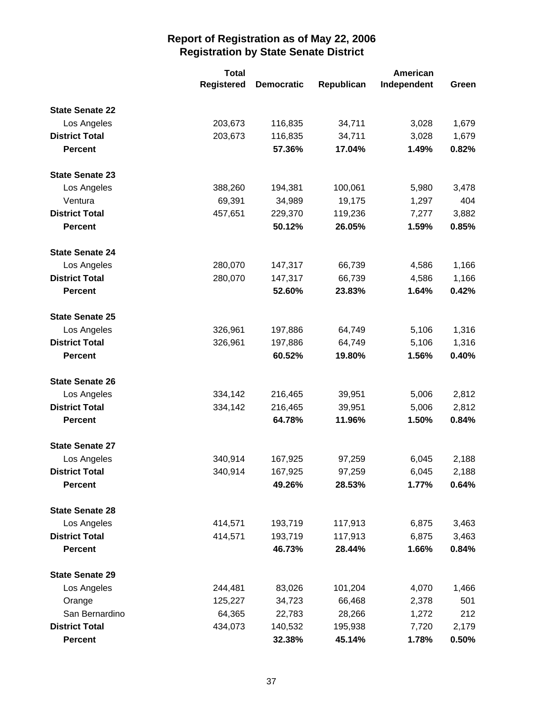|                        | <b>Total</b>      |                   |            | American    |       |
|------------------------|-------------------|-------------------|------------|-------------|-------|
|                        | <b>Registered</b> | <b>Democratic</b> | Republican | Independent | Green |
| <b>State Senate 22</b> |                   |                   |            |             |       |
| Los Angeles            | 203,673           | 116,835           | 34,711     | 3,028       | 1,679 |
| <b>District Total</b>  | 203,673           | 116,835           | 34,711     | 3,028       | 1,679 |
| <b>Percent</b>         |                   | 57.36%            | 17.04%     | 1.49%       | 0.82% |
| <b>State Senate 23</b> |                   |                   |            |             |       |
| Los Angeles            | 388,260           | 194,381           | 100,061    | 5,980       | 3,478 |
| Ventura                | 69,391            | 34,989            | 19,175     | 1,297       | 404   |
| <b>District Total</b>  | 457,651           | 229,370           | 119,236    | 7,277       | 3,882 |
| <b>Percent</b>         |                   | 50.12%            | 26.05%     | 1.59%       | 0.85% |
| <b>State Senate 24</b> |                   |                   |            |             |       |
| Los Angeles            | 280,070           | 147,317           | 66,739     | 4,586       | 1,166 |
| <b>District Total</b>  | 280,070           | 147,317           | 66,739     | 4,586       | 1,166 |
| <b>Percent</b>         |                   | 52.60%            | 23.83%     | 1.64%       | 0.42% |
| <b>State Senate 25</b> |                   |                   |            |             |       |
| Los Angeles            | 326,961           | 197,886           | 64,749     | 5,106       | 1,316 |
| <b>District Total</b>  | 326,961           | 197,886           | 64,749     | 5,106       | 1,316 |
| <b>Percent</b>         |                   | 60.52%            | 19.80%     | 1.56%       | 0.40% |
| <b>State Senate 26</b> |                   |                   |            |             |       |
| Los Angeles            | 334,142           | 216,465           | 39,951     | 5,006       | 2,812 |
| <b>District Total</b>  | 334,142           | 216,465           | 39,951     | 5,006       | 2,812 |
| <b>Percent</b>         |                   | 64.78%            | 11.96%     | 1.50%       | 0.84% |
| <b>State Senate 27</b> |                   |                   |            |             |       |
| Los Angeles            | 340,914           | 167,925           | 97,259     | 6,045       | 2,188 |
| <b>District Total</b>  | 340,914           | 167,925           | 97,259     | 6,045       | 2,188 |
| <b>Percent</b>         |                   | 49.26%            | 28.53%     | 1.77%       | 0.64% |
| <b>State Senate 28</b> |                   |                   |            |             |       |
| Los Angeles            | 414,571           | 193,719           | 117,913    | 6,875       | 3,463 |
| <b>District Total</b>  | 414,571           | 193,719           | 117,913    | 6,875       | 3,463 |
| <b>Percent</b>         |                   | 46.73%            | 28.44%     | 1.66%       | 0.84% |
| <b>State Senate 29</b> |                   |                   |            |             |       |
| Los Angeles            | 244,481           | 83,026            | 101,204    | 4,070       | 1,466 |
| Orange                 | 125,227           | 34,723            | 66,468     | 2,378       | 501   |
| San Bernardino         | 64,365            | 22,783            | 28,266     | 1,272       | 212   |
| <b>District Total</b>  | 434,073           | 140,532           | 195,938    | 7,720       | 2,179 |
| <b>Percent</b>         |                   | 32.38%            | 45.14%     | 1.78%       | 0.50% |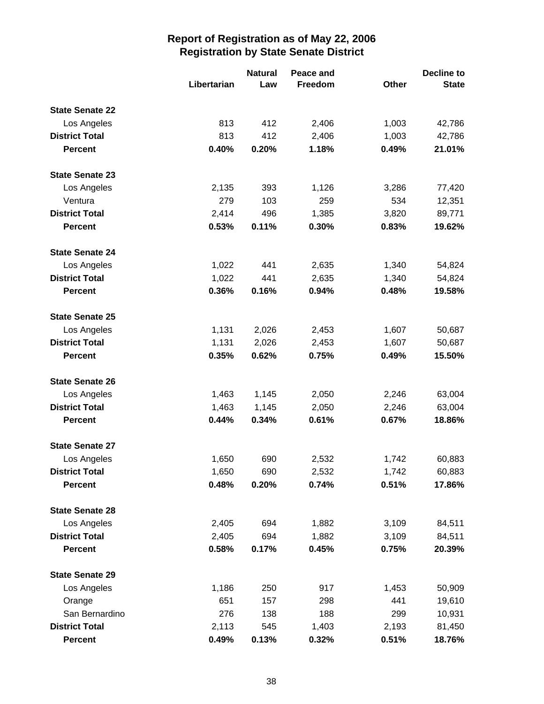|                        |             | <b>Natural</b> | Peace and |       | <b>Decline to</b> |  |
|------------------------|-------------|----------------|-----------|-------|-------------------|--|
|                        | Libertarian | Law            | Freedom   | Other | <b>State</b>      |  |
| <b>State Senate 22</b> |             |                |           |       |                   |  |
| Los Angeles            | 813         | 412            | 2,406     | 1,003 | 42,786            |  |
| <b>District Total</b>  | 813         | 412            | 2,406     | 1,003 | 42,786            |  |
| <b>Percent</b>         | 0.40%       | 0.20%          | 1.18%     | 0.49% | 21.01%            |  |
| <b>State Senate 23</b> |             |                |           |       |                   |  |
| Los Angeles            | 2,135       | 393            | 1,126     | 3,286 | 77,420            |  |
| Ventura                | 279         | 103            | 259       | 534   | 12,351            |  |
| <b>District Total</b>  | 2,414       | 496            | 1,385     | 3,820 | 89,771            |  |
| <b>Percent</b>         | 0.53%       | 0.11%          | 0.30%     | 0.83% | 19.62%            |  |
| <b>State Senate 24</b> |             |                |           |       |                   |  |
| Los Angeles            | 1,022       | 441            | 2,635     | 1,340 | 54,824            |  |
| <b>District Total</b>  | 1,022       | 441            | 2,635     | 1,340 | 54,824            |  |
| <b>Percent</b>         | 0.36%       | 0.16%          | 0.94%     | 0.48% | 19.58%            |  |
| <b>State Senate 25</b> |             |                |           |       |                   |  |
| Los Angeles            | 1,131       | 2,026          | 2,453     | 1,607 | 50,687            |  |
| <b>District Total</b>  | 1,131       | 2,026          | 2,453     | 1,607 | 50,687            |  |
| <b>Percent</b>         | 0.35%       | 0.62%          | 0.75%     | 0.49% | 15.50%            |  |
| <b>State Senate 26</b> |             |                |           |       |                   |  |
| Los Angeles            | 1,463       | 1,145          | 2,050     | 2,246 | 63,004            |  |
| <b>District Total</b>  | 1,463       | 1,145          | 2,050     | 2,246 | 63,004            |  |
| <b>Percent</b>         | 0.44%       | 0.34%          | 0.61%     | 0.67% | 18.86%            |  |
| <b>State Senate 27</b> |             |                |           |       |                   |  |
| Los Angeles            | 1,650       | 690            | 2,532     | 1,742 | 60,883            |  |
| <b>District Total</b>  | 1,650       | 690            | 2,532     | 1,742 | 60,883            |  |
| <b>Percent</b>         | 0.48%       | 0.20%          | 0.74%     | 0.51% | 17.86%            |  |
| <b>State Senate 28</b> |             |                |           |       |                   |  |
| Los Angeles            | 2,405       | 694            | 1,882     | 3,109 | 84,511            |  |
| <b>District Total</b>  | 2,405       | 694            | 1,882     | 3,109 | 84,511            |  |
| <b>Percent</b>         | 0.58%       | 0.17%          | 0.45%     | 0.75% | 20.39%            |  |
| <b>State Senate 29</b> |             |                |           |       |                   |  |
| Los Angeles            | 1,186       | 250            | 917       | 1,453 | 50,909            |  |
| Orange                 | 651         | 157            | 298       | 441   | 19,610            |  |
| San Bernardino         | 276         | 138            | 188       | 299   | 10,931            |  |
| <b>District Total</b>  | 2,113       | 545            | 1,403     | 2,193 | 81,450            |  |
| <b>Percent</b>         | 0.49%       | 0.13%          | 0.32%     | 0.51% | 18.76%            |  |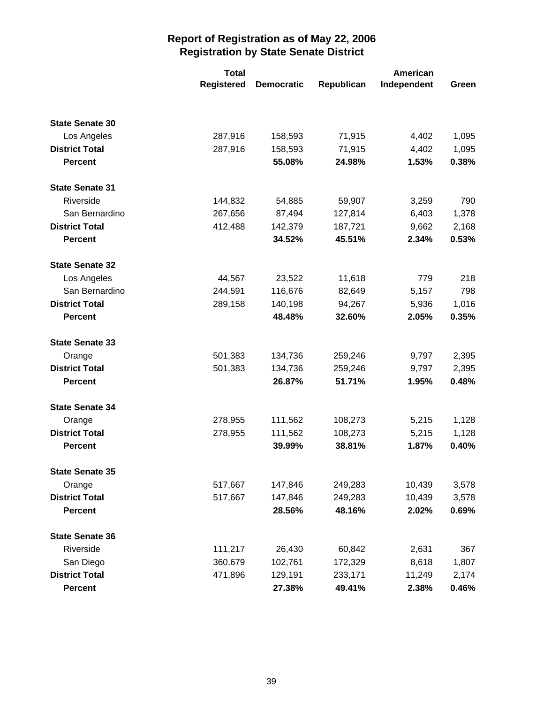|                        | <b>Total</b>      |                   | American   |             |       |
|------------------------|-------------------|-------------------|------------|-------------|-------|
|                        | <b>Registered</b> | <b>Democratic</b> | Republican | Independent | Green |
|                        |                   |                   |            |             |       |
| <b>State Senate 30</b> |                   |                   |            |             |       |
| Los Angeles            | 287,916           | 158,593           | 71,915     | 4,402       | 1,095 |
| <b>District Total</b>  | 287,916           | 158,593           | 71,915     | 4,402       | 1,095 |
| <b>Percent</b>         |                   | 55.08%            | 24.98%     | 1.53%       | 0.38% |
| <b>State Senate 31</b> |                   |                   |            |             |       |
| Riverside              | 144,832           | 54,885            | 59,907     | 3,259       | 790   |
| San Bernardino         | 267,656           | 87,494            | 127,814    | 6,403       | 1,378 |
| <b>District Total</b>  | 412,488           | 142,379           | 187,721    | 9,662       | 2,168 |
| <b>Percent</b>         |                   | 34.52%            | 45.51%     | 2.34%       | 0.53% |
| <b>State Senate 32</b> |                   |                   |            |             |       |
| Los Angeles            | 44,567            | 23,522            | 11,618     | 779         | 218   |
| San Bernardino         | 244,591           | 116,676           | 82,649     | 5,157       | 798   |
| <b>District Total</b>  | 289,158           | 140,198           | 94,267     | 5,936       | 1,016 |
| <b>Percent</b>         |                   | 48.48%            | 32.60%     | 2.05%       | 0.35% |
| <b>State Senate 33</b> |                   |                   |            |             |       |
| Orange                 | 501,383           | 134,736           | 259,246    | 9,797       | 2,395 |
| <b>District Total</b>  | 501,383           | 134,736           | 259,246    | 9,797       | 2,395 |
| <b>Percent</b>         |                   | 26.87%            | 51.71%     | 1.95%       | 0.48% |
| <b>State Senate 34</b> |                   |                   |            |             |       |
| Orange                 | 278,955           | 111,562           | 108,273    | 5,215       | 1,128 |
| <b>District Total</b>  | 278,955           | 111,562           | 108,273    | 5,215       | 1,128 |
| <b>Percent</b>         |                   | 39.99%            | 38.81%     | 1.87%       | 0.40% |
| <b>State Senate 35</b> |                   |                   |            |             |       |
| Orange                 | 517,667           | 147,846           | 249,283    | 10,439      | 3,578 |
| <b>District Total</b>  | 517,667           | 147,846           | 249,283    | 10,439      | 3,578 |
| <b>Percent</b>         |                   | 28.56%            | 48.16%     | 2.02%       | 0.69% |
| <b>State Senate 36</b> |                   |                   |            |             |       |
| Riverside              | 111,217           | 26,430            | 60,842     | 2,631       | 367   |
| San Diego              | 360,679           | 102,761           | 172,329    | 8,618       | 1,807 |
| <b>District Total</b>  | 471,896           | 129,191           | 233,171    | 11,249      | 2,174 |
| <b>Percent</b>         |                   | 27.38%            | 49.41%     | 2.38%       | 0.46% |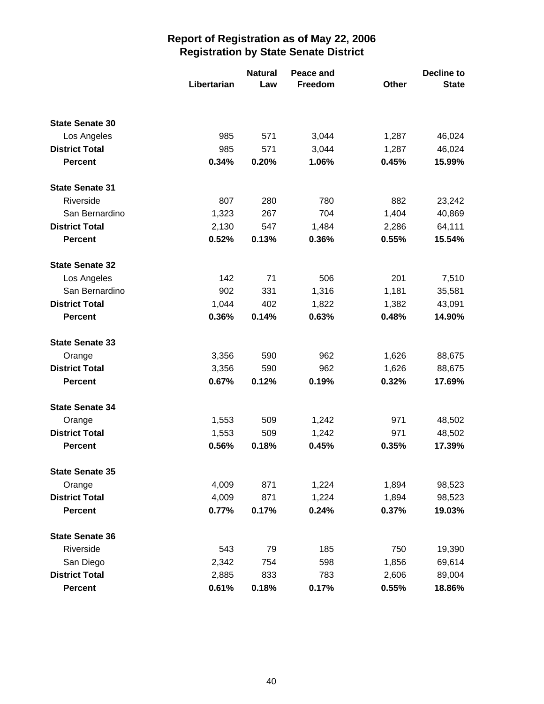|                        |             | <b>Natural</b> | Peace and | <b>Decline to</b> |              |  |
|------------------------|-------------|----------------|-----------|-------------------|--------------|--|
|                        | Libertarian | Law            | Freedom   | <b>Other</b>      | <b>State</b> |  |
|                        |             |                |           |                   |              |  |
| <b>State Senate 30</b> |             |                |           |                   |              |  |
| Los Angeles            | 985         | 571            | 3,044     | 1,287             | 46,024       |  |
| <b>District Total</b>  | 985         | 571            | 3,044     | 1,287             | 46,024       |  |
| <b>Percent</b>         | 0.34%       | 0.20%          | 1.06%     | 0.45%             | 15.99%       |  |
| <b>State Senate 31</b> |             |                |           |                   |              |  |
| Riverside              | 807         | 280            | 780       | 882               | 23,242       |  |
| San Bernardino         | 1,323       | 267            | 704       | 1,404             | 40,869       |  |
| <b>District Total</b>  | 2,130       | 547            | 1,484     | 2,286             | 64,111       |  |
| <b>Percent</b>         | 0.52%       | 0.13%          | 0.36%     | 0.55%             | 15.54%       |  |
| <b>State Senate 32</b> |             |                |           |                   |              |  |
| Los Angeles            | 142         | 71             | 506       | 201               | 7,510        |  |
| San Bernardino         | 902         | 331            | 1,316     | 1,181             | 35,581       |  |
| <b>District Total</b>  | 1,044       | 402            | 1,822     | 1,382             | 43,091       |  |
| <b>Percent</b>         | 0.36%       | 0.14%          | 0.63%     | 0.48%             | 14.90%       |  |
| <b>State Senate 33</b> |             |                |           |                   |              |  |
| Orange                 | 3,356       | 590            | 962       | 1,626             | 88,675       |  |
| <b>District Total</b>  | 3,356       | 590            | 962       | 1,626             | 88,675       |  |
| <b>Percent</b>         | 0.67%       | 0.12%          | 0.19%     | 0.32%             | 17.69%       |  |
| <b>State Senate 34</b> |             |                |           |                   |              |  |
| Orange                 | 1,553       | 509            | 1,242     | 971               | 48,502       |  |
| <b>District Total</b>  | 1,553       | 509            | 1,242     | 971               | 48,502       |  |
| <b>Percent</b>         | 0.56%       | 0.18%          | 0.45%     | 0.35%             | 17.39%       |  |
| <b>State Senate 35</b> |             |                |           |                   |              |  |
| Orange                 | 4,009       | 871            | 1,224     | 1,894             | 98,523       |  |
| <b>District Total</b>  | 4,009       | 871            | 1,224     | 1,894             | 98,523       |  |
| <b>Percent</b>         | 0.77%       | 0.17%          | 0.24%     | 0.37%             | 19.03%       |  |
| <b>State Senate 36</b> |             |                |           |                   |              |  |
| Riverside              | 543         | 79             | 185       | 750               | 19,390       |  |
| San Diego              | 2,342       | 754            | 598       | 1,856             | 69,614       |  |
| <b>District Total</b>  | 2,885       | 833            | 783       | 2,606             | 89,004       |  |
| <b>Percent</b>         | 0.61%       | 0.18%          | 0.17%     | 0.55%             | 18.86%       |  |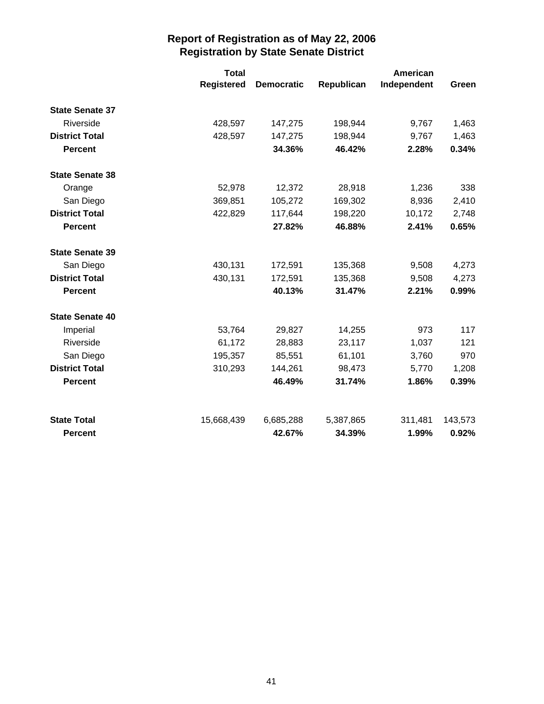|                        | <b>Total</b>      |                   |            | American    |         |
|------------------------|-------------------|-------------------|------------|-------------|---------|
|                        | <b>Registered</b> | <b>Democratic</b> | Republican | Independent | Green   |
| <b>State Senate 37</b> |                   |                   |            |             |         |
| Riverside              | 428,597           | 147,275           | 198,944    | 9,767       | 1,463   |
| <b>District Total</b>  | 428,597           | 147,275           | 198,944    | 9,767       | 1,463   |
| <b>Percent</b>         |                   | 34.36%            | 46.42%     | 2.28%       | 0.34%   |
| <b>State Senate 38</b> |                   |                   |            |             |         |
| Orange                 | 52,978            | 12,372            | 28,918     | 1,236       | 338     |
| San Diego              | 369,851           | 105,272           | 169,302    | 8,936       | 2,410   |
| <b>District Total</b>  | 422,829           | 117,644           | 198,220    | 10,172      | 2,748   |
| <b>Percent</b>         |                   | 27.82%            | 46.88%     | 2.41%       | 0.65%   |
| <b>State Senate 39</b> |                   |                   |            |             |         |
| San Diego              | 430,131           | 172,591           | 135,368    | 9,508       | 4,273   |
| <b>District Total</b>  | 430,131           | 172,591           | 135,368    | 9,508       | 4,273   |
| <b>Percent</b>         |                   | 40.13%            | 31.47%     | 2.21%       | 0.99%   |
| <b>State Senate 40</b> |                   |                   |            |             |         |
| Imperial               | 53,764            | 29,827            | 14,255     | 973         | 117     |
| Riverside              | 61,172            | 28,883            | 23,117     | 1,037       | 121     |
| San Diego              | 195,357           | 85,551            | 61,101     | 3,760       | 970     |
| <b>District Total</b>  | 310,293           | 144,261           | 98,473     | 5,770       | 1,208   |
| <b>Percent</b>         |                   | 46.49%            | 31.74%     | 1.86%       | 0.39%   |
| <b>State Total</b>     | 15,668,439        | 6,685,288         | 5,387,865  | 311,481     | 143,573 |
| <b>Percent</b>         |                   | 42.67%            | 34.39%     | 1.99%       | 0.92%   |